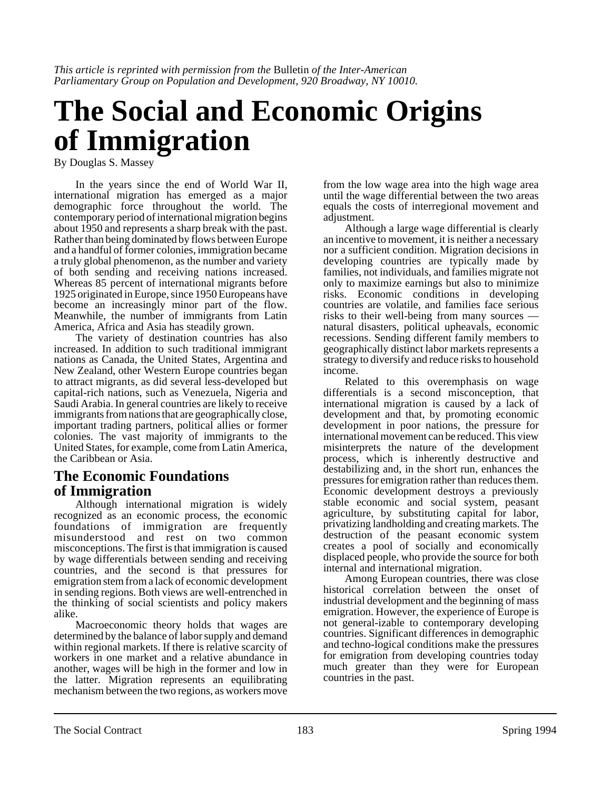*This article is reprinted with permission from the* Bulletin *of the Inter-American Parliamentary Group on Population and Development, 920 Broadway, NY 10010.*

# **The Social and Economic Origins of Immigration**

By Douglas S. Massey

In the years since the end of World War II, international migration has emerged as a major demographic force throughout the world. The contemporary period of international migration begins about 1950 and represents a sharp break with the past. Rather than being dominated by flows between Europe and a handful of former colonies, immigration became a truly global phenomenon, as the number and variety of both sending and receiving nations increased. Whereas 85 percent of international migrants before 1925 originated in Europe, since 1950 Europeans have become an increasingly minor part of the flow. Meanwhile, the number of immigrants from Latin America, Africa and Asia has steadily grown.

The variety of destination countries has also increased. In addition to such traditional immigrant nations as Canada, the United States, Argentina and New Zealand, other Western Europe countries began to attract migrants, as did several less-developed but capital-rich nations, such as Venezuela, Nigeria and Saudi Arabia. In general countries are likely to receive immigrants from nations that are geographically close, important trading partners, political allies or former colonies. The vast majority of immigrants to the United States, for example, come from Latin America, the Caribbean or Asia.

### **The Economic Foundations of Immigration**

Although international migration is widely recognized as an economic process, the economic foundations of immigration are frequently misunderstood and rest on two common misconceptions. The first is that immigration is caused by wage differentials between sending and receiving countries, and the second is that pressures for emigration stem from a lack of economic development in sending regions. Both views are well-entrenched in the thinking of social scientists and policy makers alike.

Macroeconomic theory holds that wages are determined by the balance of labor supply and demand within regional markets. If there is relative scarcity of workers in one market and a relative abundance in another, wages will be high in the former and low in the latter. Migration represents an equilibrating mechanism between the two regions, as workers move from the low wage area into the high wage area until the wage differential between the two areas equals the costs of interregional movement and adjustment.

Although a large wage differential is clearly an incentive to movement, it is neither a necessary nor a sufficient condition. Migration decisions in developing countries are typically made by families, not individuals, and families migrate not only to maximize earnings but also to minimize risks. Economic conditions in developing countries are volatile, and families face serious risks to their well-being from many sources natural disasters, political upheavals, economic recessions. Sending different family members to geographically distinct labor markets represents a strategy to diversify and reduce risks to household income.

Related to this overemphasis on wage differentials is a second misconception, that international migration is caused by a lack of development and that, by promoting economic development in poor nations, the pressure for international movement can be reduced. This view misinterprets the nature of the development process, which is inherently destructive and destabilizing and, in the short run, enhances the pressures for emigration rather than reduces them. Economic development destroys a previously stable economic and social system, peasant agriculture, by substituting capital for labor, privatizing landholding and creating markets. The destruction of the peasant economic system creates a pool of socially and economically displaced people, who provide the source for both internal and international migration.

Among European countries, there was close historical correlation between the onset of industrial development and the beginning of mass emigration. However, the experience of Europe is not general-izable to contemporary developing countries. Significant differences in demographic and techno-logical conditions make the pressures for emigration from developing countries today much greater than they were for European countries in the past.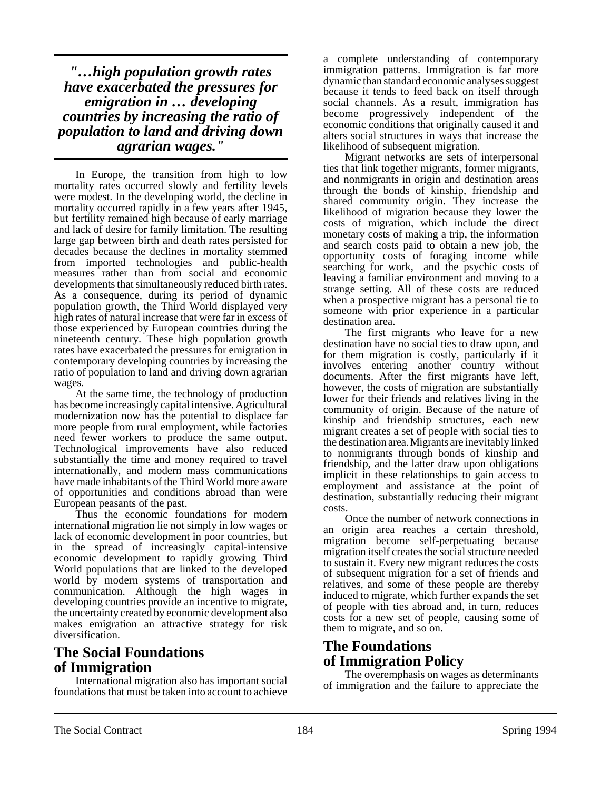*"…high population growth rates have exacerbated the pressures for emigration in … developing countries by increasing the ratio of population to land and driving down agrarian wages."*

In Europe, the transition from high to low mortality rates occurred slowly and fertility levels were modest. In the developing world, the decline in mortality occurred rapidly in a few years after 1945, but fertility remained high because of early marriage and lack of desire for family limitation. The resulting large gap between birth and death rates persisted for decades because the declines in mortality stemmed from imported technologies and public-health measures rather than from social and economic developments that simultaneously reduced birth rates. As a consequence, during its period of dynamic population growth, the Third World displayed very high rates of natural increase that were far in excess of those experienced by European countries during the nineteenth century. These high population growth rates have exacerbated the pressures for emigration in contemporary developing countries by increasing the ratio of population to land and driving down agrarian wages.

At the same time, the technology of production has become increasingly capital intensive. Agricultural modernization now has the potential to displace far more people from rural employment, while factories need fewer workers to produce the same output. Technological improvements have also reduced substantially the time and money required to travel internationally, and modern mass communications have made inhabitants of the Third World more aware of opportunities and conditions abroad than were European peasants of the past.

Thus the economic foundations for modern international migration lie not simply in low wages or lack of economic development in poor countries, but in the spread of increasingly capital-intensive economic development to rapidly growing Third World populations that are linked to the developed world by modern systems of transportation and communication. Although the high wages in developing countries provide an incentive to migrate, the uncertainty created by economic development also makes emigration an attractive strategy for risk diversification.

## **The Social Foundations of Immigration**

International migration also has important social foundations that must be taken into account to achieve a complete understanding of contemporary immigration patterns. Immigration is far more dynamic than standard economic analyses suggest because it tends to feed back on itself through social channels. As a result, immigration has become progressively independent of the economic conditions that originally caused it and alters social structures in ways that increase the likelihood of subsequent migration.

Migrant networks are sets of interpersonal ties that link together migrants, former migrants, and nonmigrants in origin and destination areas through the bonds of kinship, friendship and shared community origin. They increase the likelihood of migration because they lower the costs of migration, which include the direct monetary costs of making a trip, the information and search costs paid to obtain a new job, the opportunity costs of foraging income while searching for work, and the psychic costs of leaving a familiar environment and moving to a strange setting. All of these costs are reduced when a prospective migrant has a personal tie to someone with prior experience in a particular destination area.

The first migrants who leave for a new destination have no social ties to draw upon, and for them migration is costly, particularly if it involves entering another country without documents. After the first migrants have left, however, the costs of migration are substantially lower for their friends and relatives living in the community of origin. Because of the nature of kinship and friendship structures, each new migrant creates a set of people with social ties to the destination area. Migrants are inevitably linked to nonmigrants through bonds of kinship and friendship, and the latter draw upon obligations implicit in these relationships to gain access to employment and assistance at the point of destination, substantially reducing their migrant costs.

Once the number of network connections in an origin area reaches a certain threshold, migration become self-perpetuating because migration itself creates the social structure needed to sustain it. Every new migrant reduces the costs of subsequent migration for a set of friends and relatives, and some of these people are thereby induced to migrate, which further expands the set of people with ties abroad and, in turn, reduces costs for a new set of people, causing some of them to migrate, and so on.

## **The Foundations of Immigration Policy**

The overemphasis on wages as determinants of immigration and the failure to appreciate the